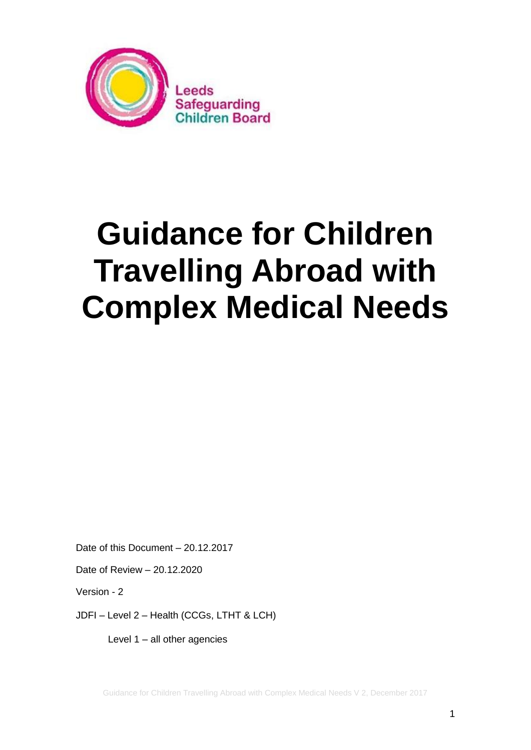

# **Guidance for Children Travelling Abroad with Complex Medical Needs**

Date of this Document – 20.12.2017

Date of Review – 20.12.2020

Version - 2

JDFI – Level 2 – Health (CCGs, LTHT & LCH)

Level 1 – all other agencies

Guidance for Children Travelling Abroad with Complex Medical Needs V 2, December 2017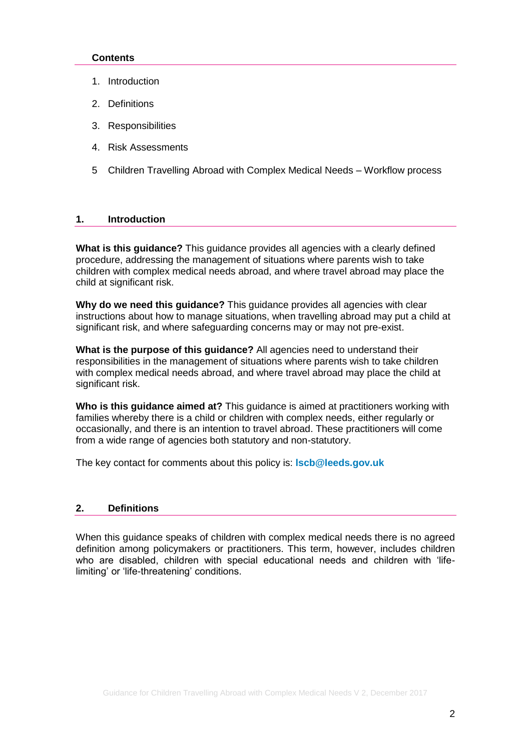# **Contents**

- 1. [Introduction](http://leedschildcare.proceduresonline.com/chapters/p_assess_neglect.html#intro#intro)
- 2. Definitions
- 3. Responsibilities
- 4. Risk Assessments
- 5 Children Travelling Abroad with Complex Medical Needs Workflow process

# **1. Introduction**

**What is this guidance?** This guidance provides all agencies with a clearly defined procedure, addressing the management of situations where parents wish to take children with complex medical needs abroad, and where travel abroad may place the child at significant risk.

**Why do we need this guidance?** This guidance provides all agencies with clear instructions about how to manage situations, when travelling abroad may put a child at significant risk, and where safeguarding concerns may or may not pre-exist.

**What is the purpose of this guidance?** All agencies need to understand their responsibilities in the management of situations where parents wish to take children with complex medical needs abroad, and where travel abroad may place the child at significant risk.

**Who is this guidance aimed at?** This guidance is aimed at practitioners working with families whereby there is a child or children with complex needs, either regularly or occasionally, and there is an intention to travel abroad. These practitioners will come from a wide range of agencies both statutory and non-statutory.

The key contact for comments about this policy is: **[lscb@leeds.gov.uk](mailto:lscb@leeds.gov.uk)**

#### **2. Definitions**

When this guidance speaks of children with complex medical needs there is no agreed definition among policymakers or practitioners. This term, however, includes children who are disabled, children with special educational needs and children with 'lifelimiting' or 'life-threatening' conditions.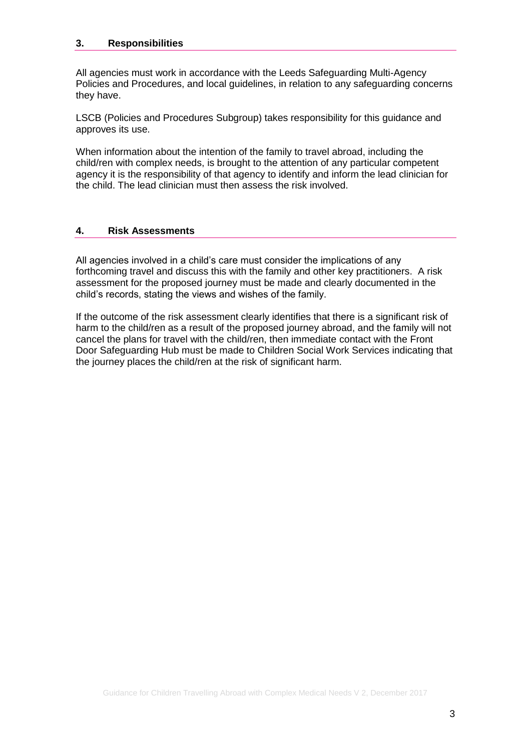# **3. Responsibilities**

All agencies must work in accordance with the Leeds Safeguarding Multi-Agency Policies and Procedures, and local guidelines, in relation to any safeguarding concerns they have.

LSCB (Policies and Procedures Subgroup) takes responsibility for this guidance and approves its use.

When information about the intention of the family to travel abroad, including the child/ren with complex needs, is brought to the attention of any particular competent agency it is the responsibility of that agency to identify and inform the lead clinician for the child. The lead clinician must then assess the risk involved.

#### **4. Risk Assessments**

All agencies involved in a child's care must consider the implications of any forthcoming travel and discuss this with the family and other key practitioners. A risk assessment for the proposed journey must be made and clearly documented in the child's records, stating the views and wishes of the family.

If the outcome of the risk assessment clearly identifies that there is a significant risk of harm to the child/ren as a result of the proposed journey abroad, and the family will not cancel the plans for travel with the child/ren, then immediate contact with the Front Door Safeguarding Hub must be made to Children Social Work Services indicating that the journey places the child/ren at the risk of significant harm.